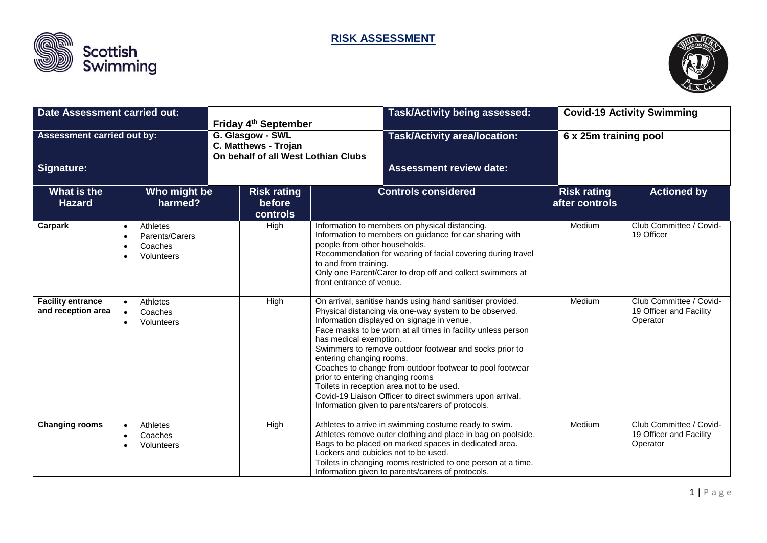



| <b>Date Assessment carried out:</b>            |                                                     | Friday 4 <sup>th</sup> September                                                | Task/Activity being assessed:                                                                                                                                                                                                                                                                                                                                                                                                                                                                                                                                                                                    | <b>Covid-19 Activity Swimming</b>    |                                                                |
|------------------------------------------------|-----------------------------------------------------|---------------------------------------------------------------------------------|------------------------------------------------------------------------------------------------------------------------------------------------------------------------------------------------------------------------------------------------------------------------------------------------------------------------------------------------------------------------------------------------------------------------------------------------------------------------------------------------------------------------------------------------------------------------------------------------------------------|--------------------------------------|----------------------------------------------------------------|
| <b>Assessment carried out by:</b>              |                                                     | G. Glasgow - SWL<br>C. Matthews - Trojan<br>On behalf of all West Lothian Clubs | <b>Task/Activity area/location:</b>                                                                                                                                                                                                                                                                                                                                                                                                                                                                                                                                                                              | 6 x 25m training pool                |                                                                |
| <b>Signature:</b>                              |                                                     |                                                                                 | <b>Assessment review date:</b>                                                                                                                                                                                                                                                                                                                                                                                                                                                                                                                                                                                   |                                      |                                                                |
| What is the<br><b>Hazard</b>                   | Who might be<br>harmed?                             | <b>Risk rating</b><br>before<br><b>controls</b>                                 | <b>Controls considered</b>                                                                                                                                                                                                                                                                                                                                                                                                                                                                                                                                                                                       | <b>Risk rating</b><br>after controls | <b>Actioned by</b>                                             |
| Carpark                                        | Athletes<br>Parents/Carers<br>Coaches<br>Volunteers | High                                                                            | Information to members on physical distancing.<br>Information to members on guidance for car sharing with<br>people from other households.<br>Recommendation for wearing of facial covering during travel<br>to and from training.<br>Only one Parent/Carer to drop off and collect swimmers at<br>front entrance of venue.                                                                                                                                                                                                                                                                                      | Medium                               | Club Committee / Covid-<br>19 Officer                          |
| <b>Facility entrance</b><br>and reception area | Athletes<br>$\bullet$<br>Coaches<br>Volunteers      | High                                                                            | On arrival, sanitise hands using hand sanitiser provided.<br>Physical distancing via one-way system to be observed.<br>Information displayed on signage in venue,<br>Face masks to be worn at all times in facility unless person<br>has medical exemption.<br>Swimmers to remove outdoor footwear and socks prior to<br>entering changing rooms.<br>Coaches to change from outdoor footwear to pool footwear<br>prior to entering changing rooms<br>Toilets in reception area not to be used.<br>Covid-19 Liaison Officer to direct swimmers upon arrival.<br>Information given to parents/carers of protocols. | Medium                               | Club Committee / Covid-<br>19 Officer and Facility<br>Operator |
| <b>Changing rooms</b>                          | Athletes<br>Coaches<br>Volunteers                   | High                                                                            | Athletes to arrive in swimming costume ready to swim.<br>Athletes remove outer clothing and place in bag on poolside.<br>Bags to be placed on marked spaces in dedicated area.<br>Lockers and cubicles not to be used.<br>Toilets in changing rooms restricted to one person at a time.<br>Information given to parents/carers of protocols.                                                                                                                                                                                                                                                                     | Medium                               | Club Committee / Covid-<br>19 Officer and Facility<br>Operator |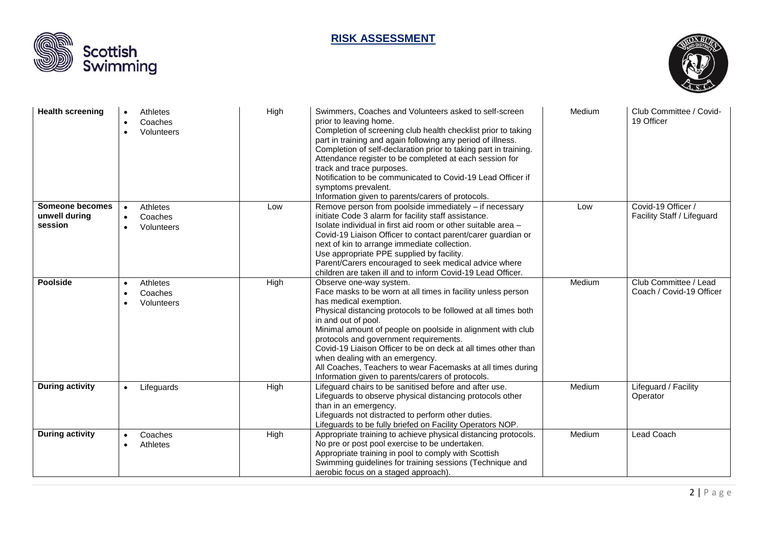

## **RISK ASSESSMENT**



| <b>Health screening</b>                     | Athletes<br>Coaches<br>Volunteers              | High | Swimmers, Coaches and Volunteers asked to self-screen<br>prior to leaving home.<br>Completion of screening club health checklist prior to taking<br>part in training and again following any period of illness.<br>Completion of self-declaration prior to taking part in training.<br>Attendance register to be completed at each session for<br>track and trace purposes.<br>Notification to be communicated to Covid-19 Lead Officer if<br>symptoms prevalent.<br>Information given to parents/carers of protocols.                       | Medium | Club Committee / Covid-<br>19 Officer             |
|---------------------------------------------|------------------------------------------------|------|----------------------------------------------------------------------------------------------------------------------------------------------------------------------------------------------------------------------------------------------------------------------------------------------------------------------------------------------------------------------------------------------------------------------------------------------------------------------------------------------------------------------------------------------|--------|---------------------------------------------------|
| Someone becomes<br>unwell during<br>session | Athletes<br>$\bullet$<br>Coaches<br>Volunteers | Low  | Remove person from poolside immediately - if necessary<br>initiate Code 3 alarm for facility staff assistance.<br>Isolate individual in first aid room or other suitable area -<br>Covid-19 Liaison Officer to contact parent/carer guardian or<br>next of kin to arrange immediate collection.<br>Use appropriate PPE supplied by facility.<br>Parent/Carers encouraged to seek medical advice where<br>children are taken ill and to inform Covid-19 Lead Officer.                                                                         | Low    | Covid-19 Officer /<br>Facility Staff / Lifeguard  |
| <b>Poolside</b>                             | Athletes<br>Coaches<br>Volunteers              | High | Observe one-way system.<br>Face masks to be worn at all times in facility unless person<br>has medical exemption.<br>Physical distancing protocols to be followed at all times both<br>in and out of pool.<br>Minimal amount of people on poolside in alignment with club<br>protocols and government requirements.<br>Covid-19 Liaison Officer to be on deck at all times other than<br>when dealing with an emergency.<br>All Coaches, Teachers to wear Facemasks at all times during<br>Information given to parents/carers of protocols. | Medium | Club Committee / Lead<br>Coach / Covid-19 Officer |
| <b>During activity</b>                      | Lifeguards<br>$\bullet$                        | High | Lifeguard chairs to be sanitised before and after use.<br>Lifeguards to observe physical distancing protocols other<br>than in an emergency.<br>Lifeguards not distracted to perform other duties.<br>Lifeguards to be fully briefed on Facility Operators NOP.                                                                                                                                                                                                                                                                              | Medium | Lifeguard / Facility<br>Operator                  |
| <b>During activity</b>                      | Coaches<br>$\bullet$<br>Athletes               | High | Appropriate training to achieve physical distancing protocols.<br>No pre or post pool exercise to be undertaken.<br>Appropriate training in pool to comply with Scottish<br>Swimming guidelines for training sessions (Technique and<br>aerobic focus on a staged approach).                                                                                                                                                                                                                                                                 | Medium | Lead Coach                                        |